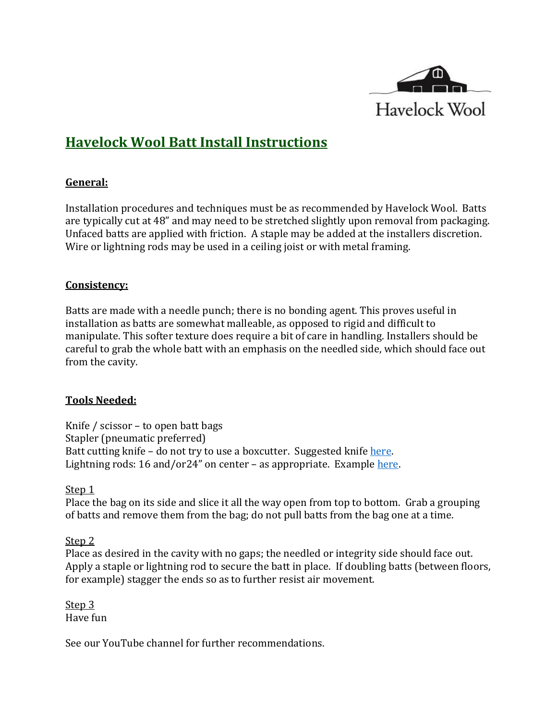

# **Havelock Wool Batt Install Instructions**

### **General:**

Installation procedures and techniques must be as recommended by Havelock Wool. Batts are typically cut at 48" and may need to be stretched slightly upon removal from packaging. Unfaced batts are applied with friction. A staple may be added at the installers discretion. Wire or lightning rods may be used in a ceiling joist or with metal framing.

### **Consistency:**

Batts are made with a needle punch; there is no bonding agent. This proves useful in installation as batts are somewhat malleable, as opposed to rigid and difficult to manipulate. This softer texture does require a bit of care in handling. Installers should be careful to grab the whole batt with an emphasis on the needled side, which should face out from the cavity.

### **Tools Needed:**

Knife / scissor – to open batt bags Stapler (pneumatic preferred) Batt cutting knife – do not try to use a boxcutter. Suggested knife [here.](http://www.bullettools.com/insulation/center-fire-knife-kit/) Lightning rods: 16 and/or24" on center – as appropriate. Example [here.](http://www.acehardware.com/product/index.jsp?productId=21052916&KPID=15822105&cid=CAPLA:G:Shopping_-_Drive_to_Store&pla=pla_15822105&k_clickid=5f5a4ccd-e179-47bd-89bf-06707c19502c&gclid=CjwKCAjwhcjVBRBHEiwAoDe5x7SZUAH1AJ6XBr3bNx3zengJT_fehaM0SlPFzwgSUJkuLcWaO7hstxoCnZMQAvD_BwE)

### Step<sub>1</sub>

Place the bag on its side and slice it all the way open from top to bottom. Grab a grouping of batts and remove them from the bag; do not pull batts from the bag one at a time.

### Step 2

Place as desired in the cavity with no gaps; the needled or integrity side should face out. Apply a staple or lightning rod to secure the batt in place. If doubling batts (between floors, for example) stagger the ends so as to further resist air movement.

Step 3 Have fun

See our YouTube channel for further recommendations.